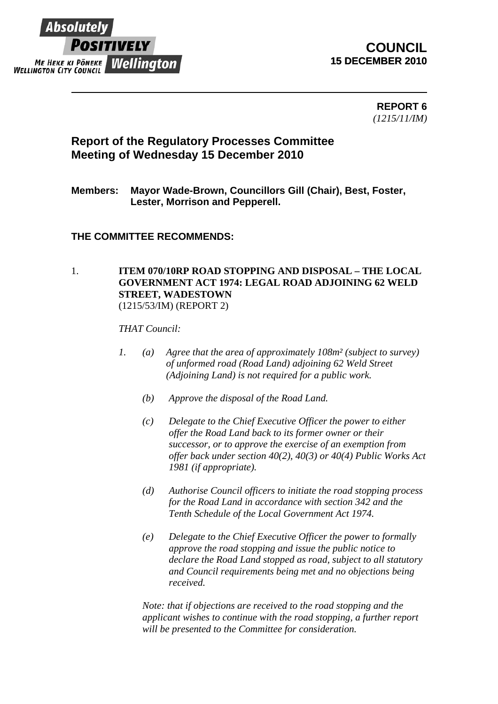

## **COUNCIL 15 DECEMBER 2010**

**REPORT 6**  *(1215/11/IM)* 

# **Report of the Regulatory Processes Committee Meeting of Wednesday 15 December 2010**

## **Members: Mayor Wade-Brown, Councillors Gill (Chair), Best, Foster, Lester, Morrison and Pepperell.**

### **THE COMMITTEE RECOMMENDS:**

#### 1. **ITEM 070/10RP ROAD STOPPING AND DISPOSAL – THE LOCAL GOVERNMENT ACT 1974: LEGAL ROAD ADJOINING 62 WELD STREET, WADESTOWN** (1215/53/IM) (REPORT 2)

*THAT Council:*

- *1. (a) Agree that the area of approximately 108m² (subject to survey) of unformed road (Road Land) adjoining 62 Weld Street (Adjoining Land) is not required for a public work.* 
	- *(b) Approve the disposal of the Road Land.*
	- *(c) Delegate to the Chief Executive Officer the power to either offer the Road Land back to its former owner or their successor, or to approve the exercise of an exemption from offer back under section 40(2), 40(3) or 40(4) Public Works Act 1981 (if appropriate).*
	- *(d) Authorise Council officers to initiate the road stopping process for the Road Land in accordance with section 342 and the Tenth Schedule of the Local Government Act 1974.*
	- *(e) Delegate to the Chief Executive Officer the power to formally approve the road stopping and issue the public notice to declare the Road Land stopped as road, subject to all statutory and Council requirements being met and no objections being received.*

*Note: that if objections are received to the road stopping and the applicant wishes to continue with the road stopping, a further report will be presented to the Committee for consideration.*